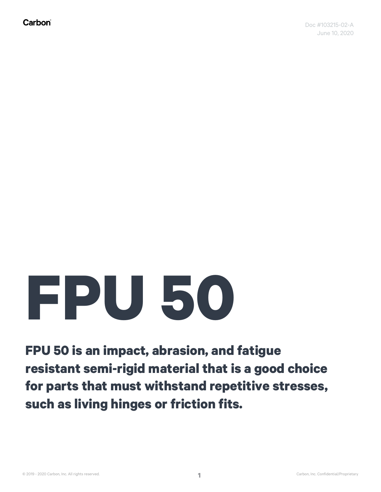Carbon®

## **FPU 50**

**FPU 50 is an impact, abrasion, and fatigue resistant semi-rigid material that is a good choice for parts that must withstand repetitive stresses, such as living hinges or friction fits.**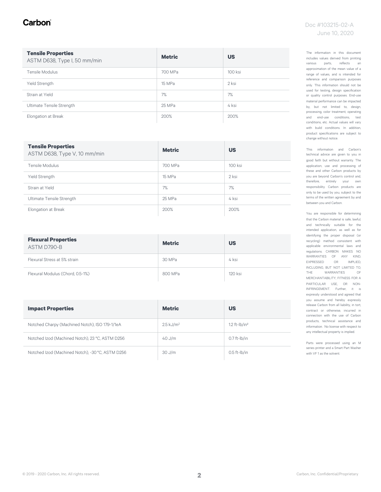#### Carbon

#### Doc #103215-02-A June 10, 2020

| <b>Tensile Properties</b><br>ASTM D638, Type I, 50 mm/min | <b>Metric</b> | <b>US</b> |
|-----------------------------------------------------------|---------------|-----------|
| Tensile Modulus                                           | 700 MPa       | 100 ksi   |
| Yield Strength                                            | 15 MPa        | 2 ksi     |
| Strain at Yield                                           | 7%            | 7%        |
| Ultimate Tensile Strength                                 | 25 MPa        | 4 ksi     |
| Elongation at Break                                       | 200%          | 200%      |

| <b>Tensile Properties</b><br>ASTM D638, Type V, 10 mm/min | <b>Metric</b> | <b>US</b> |
|-----------------------------------------------------------|---------------|-----------|
| Tensile Modulus                                           | 700 MPa       | 100 ksi   |
| Yield Strength                                            | 15 MPa        | 2 ksi     |
| Strain at Yield                                           | 7%            | 7%        |
| Ultimate Tensile Strength                                 | 25 MPa        | 4 ksi     |
| Elongation at Break                                       | 200%          | 200%      |

| <b>Flexural Properties</b><br>ASTM D790-B | <b>Metric</b> | <b>US</b> |
|-------------------------------------------|---------------|-----------|
| Flexural Stress at 5% strain              | 30 MPa        | 4 ksi     |
| Flexural Modulus (Chord, 0.5-1%)          | 800 MPa       | 120 ksi   |

| <b>Impact Properties</b>                         | <b>Metric</b>           | <b>US</b>           |
|--------------------------------------------------|-------------------------|---------------------|
| Notched Charpy (Machined Notch), ISO 179-1/1eA   | $2.5$ kJ/m <sup>2</sup> | $1.2$ ft- $lb/in^2$ |
| Notched Izod (Machined Notch), 23 °C, ASTM D256  | $40$ J/m                | $0.7$ ft- $lb/in$   |
| Notched Izod (Machined Notch), -30 °C, ASTM D256 | $30$ J/m                | $0.5$ ft- $I$ b/in  |

The information in this document includes values derived from printing various parts, reflects an approximation of the mean value of a range of values, and is intended for reference and comparison purposes only. This information should not be used for testing, design specification or quality control purposes. End-use material performance can be impacted by, but not limited to, design, processing, color treatment, operating and end-use conditions, test conditions, etc. Actual values will vary with build conditions. In addition, product specifications are subject to change without notice.

This information and Carbon's technical advice are given to you in good faith but without warranty. The application, use and processing of these and other Carbon products by you are beyond Carbon's control and, therefore, entirely your own responsibility. Carbon products are only to be used by you, subject to the terms of the written agreement by and between you and Carbon.

You are responsible for determining that the Carbon material is safe, lawful, and technically suitable for the intended application, as well as for identifying the proper disposal (or recycling) method consistent with applicable environmental laws and regulations. CARBON MAKES NO WARRANTIES OF ANY KIND, EXPRESSED OR IMPLIED, INCLUDING, BUT NOT LIMITED TO, THE WARRANTIES OF MERCHANTABILITY, FITNESS FOR A PARTICULAR USE, OR NON-INFRINGEMENT. Further, it is expressly understood and agreed that you assume and hereby expressly release Carbon from all liability, in tort, contract or otherwise, incurred in connection with the use of Carbon products, technical assistance and information. No license with respect to any intellectual property is implied.

Parts were processed using an M series printer and a Smart Part Washer with VF 1 as the solvent.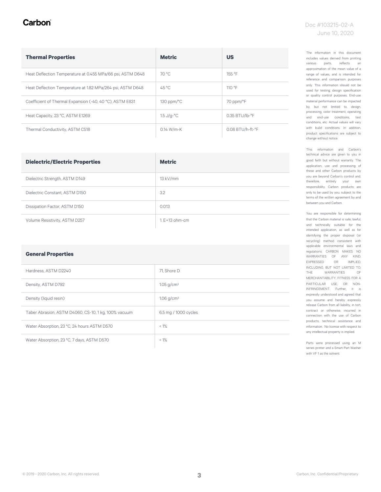#### Carbon

| <b>Thermal Properties</b>                                  | <b>Metric</b>                      | <b>US</b>        |
|------------------------------------------------------------|------------------------------------|------------------|
| Heat Deflection Temperature at 0.455 MPa/66 psi, ASTM D648 | 70 °C                              | 155 °F           |
| Heat Deflection Temperature at 1.82 MPa/264 psi, ASTM D648 | 45 °C                              | 110°F            |
| Coefficient of Thermal Expansion (-40, 40 °C), ASTM E831   | $130$ ppm/ $\degree$ C             | 70 ppm/°F        |
| Heat Capacity, 23 °C, ASTM E1269                           | $1.5 \text{ J/q-}^{\circ}\text{C}$ | 0.35 BTU/lb-°F   |
| Thermal Conductivity, ASTM C518                            | $0.14 W/m-K$                       | 0.08 BTU/h-ft-°F |

| <b>Dielectric/Electric Properties</b> | <b>Metric</b>      |
|---------------------------------------|--------------------|
| Dielectric Strength, ASTM D149        | $13$ kV/mm         |
| Dielectric Constant, ASTM D150        | 3.2                |
| Dissipation Factor, ASTM D150         | 0.013              |
| Volume Resistivity, ASTM D257         | $1. F + 13 ohm-cm$ |

#### **General Properties**

| Hardness, ASTM D2240                                 | 71. Shore D              |
|------------------------------------------------------|--------------------------|
| Density, ASTM D792                                   | $1.05$ g/cm <sup>3</sup> |
| Density (liquid resin)                               | 1.06 $q/cm^3$            |
| Taber Abrasion, ASTM D4060, CS-10, 1 kg, 100% vacuum | 6.5 mg / 1000 cycles     |
| Water Absorption, 23 °C, 24 hours ASTM D570          | $< 1\%$                  |
| Water Absorption, 23 °C, 7 days, ASTM D570           | $< 1\%$                  |

The information in this document includes values derived from printing various parts, reflects an approximation of the mean value of a range of values, and is intended for reference and comparison purposes only. This information should not be used for testing, design specification or quality control purposes. End-use material performance can be impacted by, but not limited to, design, processing, color treatment, operating and end-use conditions, test conditions, etc. Actual values will vary with build conditions. In addition, product specifications are subject to change without notice.

This information and Carbon's technical advice are given to you in good faith but without warranty. The application, use and processing of these and other Carbon products by you are beyond Carbon's control and, therefore, entirely your own responsibility. Carbon products are only to be used by you, subject to the terms of the written agreement by and between you and Carbon.

You are responsible for determining that the Carbon material is safe, lawful, and technically suitable for the intended application, as well as for identifying the proper disposal (or recycling) method consistent with applicable environmental laws and regulations. CARBON MAKES NO WARRANTIES OF ANY KIND, EXPRESSED OR IMPLIED, INCLUDING, BUT NOT LIMITED TO, THE WARRANTIES OF MERCHANTABILITY, FITNESS FOR A PARTICULAR USE, OR NON-INFRINGEMENT. Further, it is expressly understood and agreed that you assume and hereby expressly release Carbon from all liability, in tort, contract or otherwise, incurred in connection with the use of Carbon products, technical assistance and information. No license with respect to any intellectual property is implied.

Parts were processed using an M series printer and a Smart Part Washer with VF 1 as the solvent.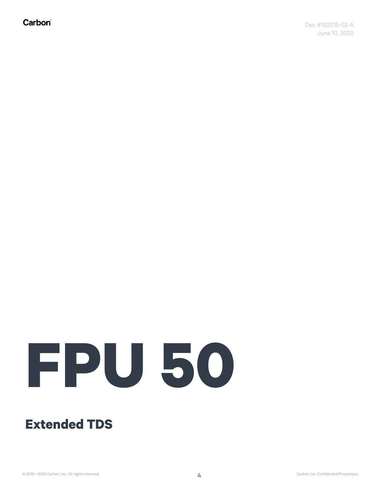Carbon®

# **FPU 50**

### **Extended TDS**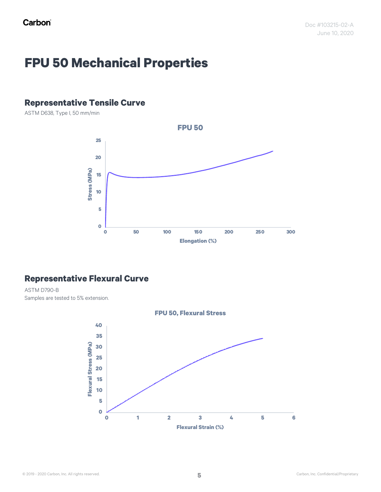## **FPU 50 Mechanical Properties**

#### **Representative Tensile Curve**

ASTM D638, Type I, 50 mm/min



#### **Representative Flexural Curve**

ASTM D790-B Samples are tested to 5% extension.

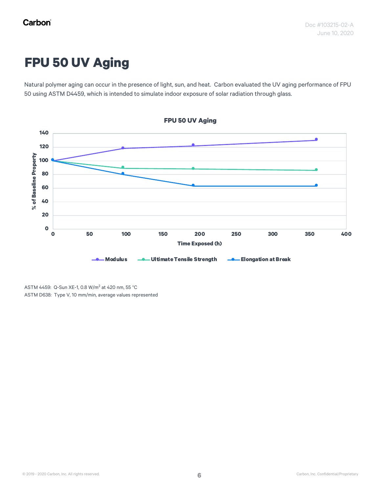## **FPU 50 UV Aging**

Natural polymer aging can occur in the presence of light, sun, and heat. Carbon evaluated the UV aging performance of FPU 50 using ASTM D4459, which is intended to simulate indoor exposure of solar radiation through glass.



ASTM 4459: Q-Sun XE-1, 0.8 W/m<sup>2</sup> at 420 nm, 55 °C

ASTM D638: Type V, 10 mm/min, average values represented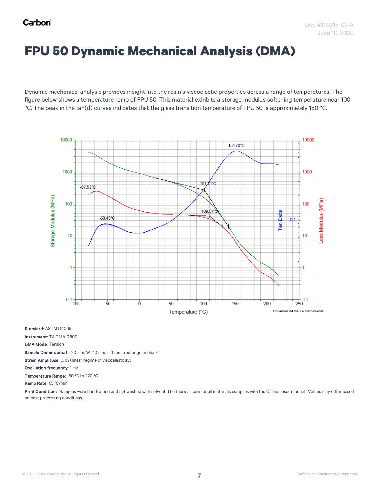## **FPU 50 Dynamic Mechanical Analysis (DMA)**

Dynamic mechanical analysis provides insight into the resin's viscoelastic properties across a range of temperatures. The figure below shows a temperature ramp of FPU 50. This material exhibits a storage modulus softening temperature near 100 °C. The peak in the tan(d) curves indicates that the glass transition temperature of FPU 50 is approximately 150 °C.



Standard: ASTM D4065

Instrument: TA DMA Q800

DMA Mode: Tension

Sample Dimensions: L=20 mm, W=10 mm, t=1 mm (rectangular block)

Strain Amplitude: 0.1% (linear regime of viscoelasticity)

Oscillation frequency: 1 Hz

Temperature Range: -80 ºC to 220 ºC

Ramp Rate: 1.5 ºC/min

Print Conditions: Samples were hand-wiped and not washed with solvent. The thermal cure for all materials complies with the Carbon user manual. Values may differ based on post processing conditions.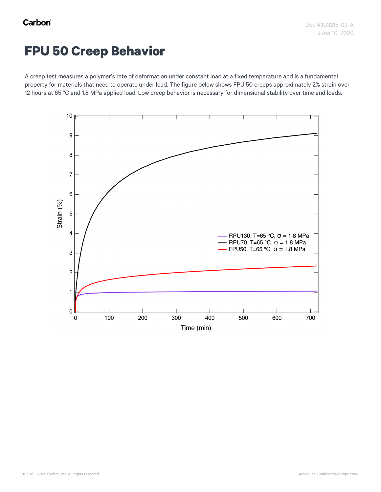## **FPU 50 Creep Behavior**

A creep test measures a polymer's rate of deformation under constant load at a fixed temperature and is a fundamental property for materials that need to operate under load. The figure below shows FPU 50 creeps approximately 2% strain over 12 hours at 65 °C and 1.8 MPa applied load. Low creep behavior is necessary for dimensional stability over time and loads.